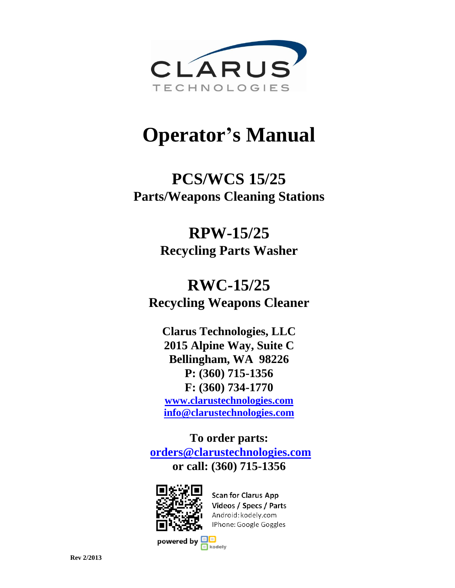

# **Operator's Manual**

## **PCS/WCS 15/25 Parts/Weapons Cleaning Stations**

## **RPW-15/25 Recycling Parts Washer**

## **RWC-15/25 Recycling Weapons Cleaner**

**Clarus Technologies, LLC 2015 Alpine Way, Suite C Bellingham, WA 98226 P: (360) 715-1356 F: (360) 734-1770 [www.clarustechnologies.com](http://www.clarustechnologies.com/) [info@clarustechnologies.com](mailto:info@clarustechnologies.com)**

**To order parts: [orders@clarustechnologies.com](mailto:orders@clarustechnologies.com?subject=PCS/WCS/RPW%20Parts) or call: (360) 715-1356**



**Scan for Clarus App** Videos / Specs / Parts Android: kodely.com IPhone: Google Goggles

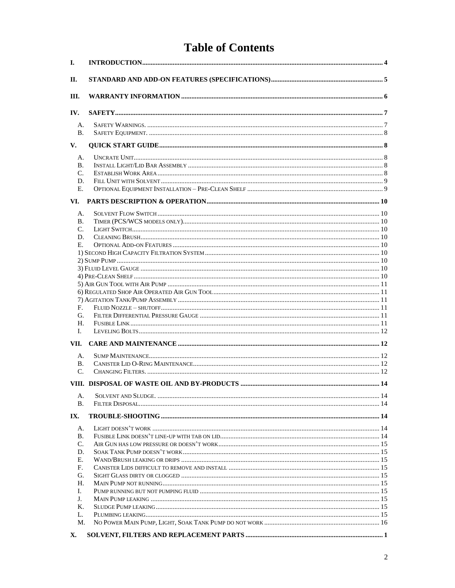## **Table of Contents**

| I.              |  |
|-----------------|--|
| П.              |  |
| III.            |  |
| IV.             |  |
| A.<br><b>B.</b> |  |
| V.              |  |
|                 |  |
| А.<br>В.        |  |
| C.              |  |
| D.              |  |
| Е.              |  |
| VI.             |  |
| А.              |  |
| В.              |  |
| $\mathcal{C}$ . |  |
| D.              |  |
| Е.              |  |
|                 |  |
|                 |  |
|                 |  |
|                 |  |
|                 |  |
|                 |  |
| F.              |  |
| G.              |  |
| Н.              |  |
| L.              |  |
| VII.            |  |
|                 |  |
| А.              |  |
| В.              |  |
| C.              |  |
|                 |  |
| А.              |  |
| В.              |  |
| IX.             |  |
| А.              |  |
| Β.              |  |
| C.              |  |
| D.              |  |
| Е.              |  |
| F.              |  |
| G.              |  |
| Н.              |  |
| L.              |  |
| J.              |  |
| Κ.              |  |
| L.<br>M.        |  |
|                 |  |
| X.              |  |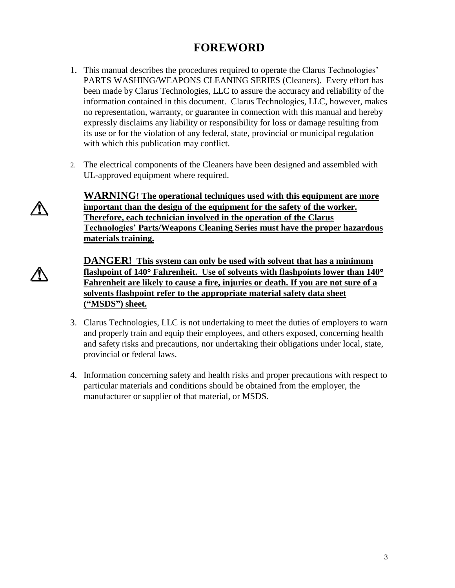## **FOREWORD**

- 1. This manual describes the procedures required to operate the Clarus Technologies' PARTS WASHING/WEAPONS CLEANING SERIES (Cleaners). Every effort has been made by Clarus Technologies, LLC to assure the accuracy and reliability of the information contained in this document. Clarus Technologies, LLC, however, makes no representation, warranty, or guarantee in connection with this manual and hereby expressly disclaims any liability or responsibility for loss or damage resulting from its use or for the violation of any federal, state, provincial or municipal regulation with which this publication may conflict.
- 2. The electrical components of the Cleaners have been designed and assembled with UL-approved equipment where required.

**WARNING! The operational techniques used with this equipment are more important than the design of the equipment for the safety of the worker. Therefore, each technician involved in the operation of the Clarus Technologies' Parts/Weapons Cleaning Series must have the proper hazardous materials training.** 

**DANGER! This system can only be used with solvent that has a minimum flashpoint of 140 Fahrenheit. Use of solvents with flashpoints lower than 140 Fahrenheit are likely to cause a fire, injuries or death. If you are not sure of a solvents flashpoint refer to the appropriate material safety data sheet ("MSDS") sheet.**

- 3. Clarus Technologies, LLC is not undertaking to meet the duties of employers to warn and properly train and equip their employees, and others exposed, concerning health and safety risks and precautions, nor undertaking their obligations under local, state, provincial or federal laws.
- 4. Information concerning safety and health risks and proper precautions with respect to particular materials and conditions should be obtained from the employer, the manufacturer or supplier of that material, or MSDS.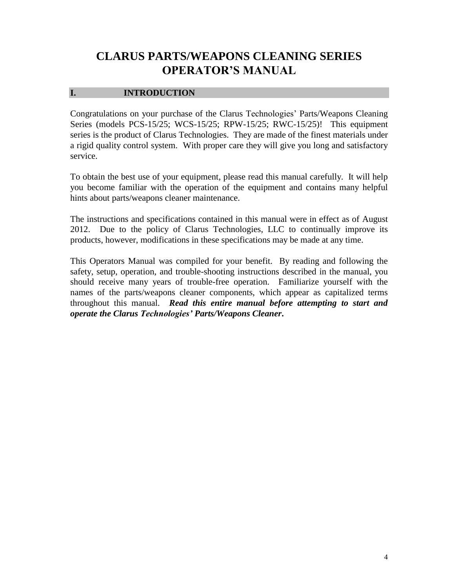## **CLARUS PARTS/WEAPONS CLEANING SERIES OPERATOR'S MANUAL**

#### <span id="page-3-0"></span>**I. INTRODUCTION**

Congratulations on your purchase of the Clarus Technologies' Parts/Weapons Cleaning Series (models PCS-15/25; WCS-15/25; RPW-15/25; RWC-15/25)! This equipment series is the product of Clarus Technologies. They are made of the finest materials under a rigid quality control system. With proper care they will give you long and satisfactory service.

To obtain the best use of your equipment, please read this manual carefully. It will help you become familiar with the operation of the equipment and contains many helpful hints about parts/weapons cleaner maintenance.

The instructions and specifications contained in this manual were in effect as of August 2012. Due to the policy of Clarus Technologies, LLC to continually improve its products, however, modifications in these specifications may be made at any time.

This Operators Manual was compiled for your benefit. By reading and following the safety, setup, operation, and trouble-shooting instructions described in the manual, you should receive many years of trouble-free operation. Familiarize yourself with the names of the parts/weapons cleaner components, which appear as capitalized terms throughout this manual. *Read this entire manual before attempting to start and operate the Clarus Technologies' Parts/Weapons Cleaner***.**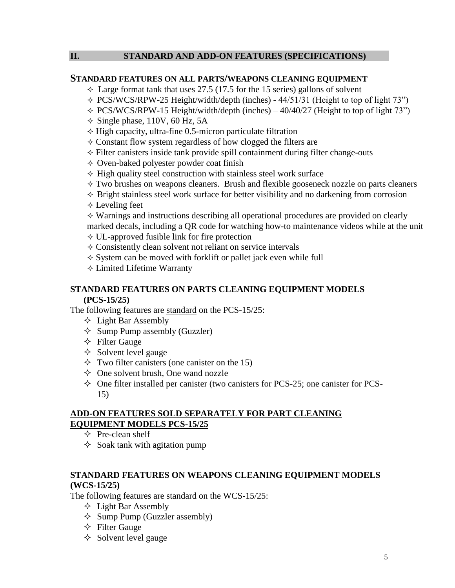#### <span id="page-4-0"></span>**II. STANDARD AND ADD-ON FEATURES (SPECIFICATIONS)**

#### **STANDARD FEATURES ON ALL PARTS/WEAPONS CLEANING EQUIPMENT**

- $\triangle$  Large format tank that uses 27.5 (17.5 for the 15 series) gallons of solvent
- $\div$  PCS/WCS/RPW-25 Height/width/depth (inches) 44/51/31 (Height to top of light 73")
- $\div$  PCS/WCS/RPW-15 Height/width/depth (inches) 40/40/27 (Height to top of light 73")
- $\Diamond$  Single phase, 110V, 60 Hz, 5A
- $\Diamond$  High capacity, ultra-fine 0.5-micron particulate filtration
- $\Diamond$  Constant flow system regardless of how clogged the filters are
- $\Diamond$  Filter canisters inside tank provide spill containment during filter change-outs
- $\Diamond$  Oven-baked polyester powder coat finish
- $\Diamond$  High quality steel construction with stainless steel work surface
- $\Diamond$  Two brushes on weapons cleaners. Brush and flexible gooseneck nozzle on parts cleaners
- $\Diamond$  Bright stainless steel work surface for better visibility and no darkening from corrosion
- $\Diamond$  Leveling feet

 $\Diamond$  Warnings and instructions describing all operational procedures are provided on clearly marked decals, including a QR code for watching how-to maintenance videos while at the unit

- $\Diamond$  UL-approved fusible link for fire protection
- $\Diamond$  Consistently clean solvent not reliant on service intervals
- $\Diamond$  System can be moved with forklift or pallet jack even while full
- Limited Lifetime Warranty

#### **STANDARD FEATURES ON PARTS CLEANING EQUIPMENT MODELS (PCS-15/25)**

The following features are standard on the PCS-15/25:

- $\Diamond$  Light Bar Assembly
- $\Diamond$  Sump Pump assembly (Guzzler)
- $\Diamond$  Filter Gauge
- $\Diamond$  Solvent level gauge
- $\Diamond$  Two filter canisters (one canister on the 15)
- $\Diamond$  One solvent brush, One wand nozzle
- $\Diamond$  One filter installed per canister (two canisters for PCS-25; one canister for PCS-15)

#### **ADD-ON FEATURES SOLD SEPARATELY FOR PART CLEANING EQUIPMENT MODELS PCS-15/25**

- $\Diamond$  Pre-clean shelf
- $\Diamond$  Soak tank with agitation pump

#### **STANDARD FEATURES ON WEAPONS CLEANING EQUIPMENT MODELS (WCS-15/25)**

The following features are standard on the WCS-15/25:

- $\Diamond$  Light Bar Assembly
- $\Diamond$  Sump Pump (Guzzler assembly)
- $\triangle$  Filter Gauge
- $\diamond$  Solvent level gauge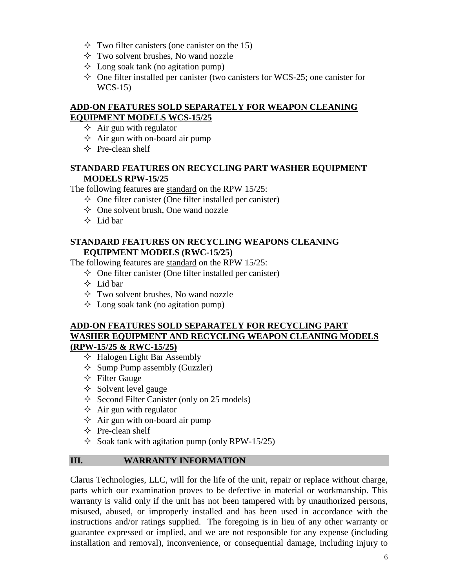- $\Diamond$  Two filter canisters (one canister on the 15)
- $\Diamond$  Two solvent brushes, No wand nozzle
- $\Diamond$  Long soak tank (no agitation pump)
- $\Diamond$  One filter installed per canister (two canisters for WCS-25; one canister for WCS-15)

## **ADD-ON FEATURES SOLD SEPARATELY FOR WEAPON CLEANING EQUIPMENT MODELS WCS-15/25**

- $\Diamond$  Air gun with regulator
- $\Diamond$  Air gun with on-board air pump
- $\Diamond$  Pre-clean shelf

## **STANDARD FEATURES ON RECYCLING PART WASHER EQUIPMENT MODELS RPW-15/25**

The following features are standard on the RPW 15/25:

- $\Diamond$  One filter canister (One filter installed per canister)
- $\Diamond$  One solvent brush, One wand nozzle
- $\Diamond$  Lid bar

## **STANDARD FEATURES ON RECYCLING WEAPONS CLEANING EQUIPMENT MODELS (RWC-15/25)**

The following features are standard on the RPW 15/25:

- $\Diamond$  One filter canister (One filter installed per canister)
- $\triangle$  Lid bar
- $\Diamond$  Two solvent brushes, No wand nozzle
- $\Diamond$  Long soak tank (no agitation pump)

## **ADD-ON FEATURES SOLD SEPARATELY FOR RECYCLING PART WASHER EQUIPMENT AND RECYCLING WEAPON CLEANING MODELS (RPW-15/25 & RWC-15/25)**

- $\Diamond$  Halogen Light Bar Assembly
- $\Diamond$  Sump Pump assembly (Guzzler)
- $\triangle$  Filter Gauge
- $\Diamond$  Solvent level gauge
- $\Diamond$  Second Filter Canister (only on 25 models)
- $\Diamond$  Air gun with regulator
- $\Diamond$  Air gun with on-board air pump
- $\Diamond$  Pre-clean shelf
- $\Diamond$  Soak tank with agitation pump (only RPW-15/25)

## <span id="page-5-0"></span>**III. WARRANTY INFORMATION**

Clarus Technologies, LLC, will for the life of the unit, repair or replace without charge, parts which our examination proves to be defective in material or workmanship. This warranty is valid only if the unit has not been tampered with by unauthorized persons, misused, abused, or improperly installed and has been used in accordance with the instructions and/or ratings supplied. The foregoing is in lieu of any other warranty or guarantee expressed or implied, and we are not responsible for any expense (including installation and removal), inconvenience, or consequential damage, including injury to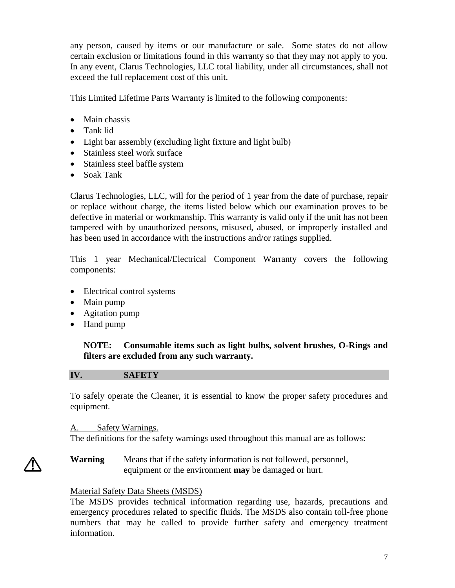any person, caused by items or our manufacture or sale. Some states do not allow certain exclusion or limitations found in this warranty so that they may not apply to you. In any event, Clarus Technologies, LLC total liability, under all circumstances, shall not exceed the full replacement cost of this unit.

This Limited Lifetime Parts Warranty is limited to the following components:

- Main chassis
- Tank lid
- Light bar assembly (excluding light fixture and light bulb)
- Stainless steel work surface
- Stainless steel baffle system
- Soak Tank

Clarus Technologies, LLC, will for the period of 1 year from the date of purchase, repair or replace without charge, the items listed below which our examination proves to be defective in material or workmanship. This warranty is valid only if the unit has not been tampered with by unauthorized persons, misused, abused, or improperly installed and has been used in accordance with the instructions and/or ratings supplied.

This 1 year Mechanical/Electrical Component Warranty covers the following components:

- Electrical control systems
- Main pump
- Agitation pump
- Hand pump

**NOTE: Consumable items such as light bulbs, solvent brushes, O-Rings and filters are excluded from any such warranty.** 

## <span id="page-6-0"></span>**IV. SAFETY**

To safely operate the Cleaner, it is essential to know the proper safety procedures and equipment.

## <span id="page-6-1"></span>A. Safety Warnings.

The definitions for the safety warnings used throughout this manual are as follows:

**Warning** Means that if the safety information is not followed, personnel, equipment or the environment **may** be damaged or hurt.

## Material Safety Data Sheets (MSDS)

The MSDS provides technical information regarding use, hazards, precautions and emergency procedures related to specific fluids. The MSDS also contain toll-free phone numbers that may be called to provide further safety and emergency treatment information.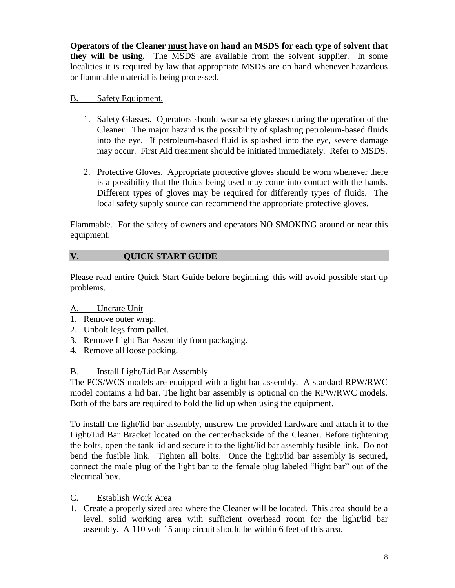**Operators of the Cleaner must have on hand an MSDS for each type of solvent that they will be using.** The MSDS are available from the solvent supplier. In some localities it is required by law that appropriate MSDS are on hand whenever hazardous or flammable material is being processed.

### <span id="page-7-0"></span>B. Safety Equipment.

- 1. Safety Glasses. Operators should wear safety glasses during the operation of the Cleaner. The major hazard is the possibility of splashing petroleum-based fluids into the eye. If petroleum-based fluid is splashed into the eye, severe damage may occur. First Aid treatment should be initiated immediately. Refer to MSDS.
- 2. Protective Gloves. Appropriate protective gloves should be worn whenever there is a possibility that the fluids being used may come into contact with the hands. Different types of gloves may be required for differently types of fluids. The local safety supply source can recommend the appropriate protective gloves.

Flammable. For the safety of owners and operators NO SMOKING around or near this equipment.

## <span id="page-7-1"></span>**V. QUICK START GUIDE**

Please read entire Quick Start Guide before beginning, this will avoid possible start up problems.

## <span id="page-7-2"></span>A. Uncrate Unit

- 1. Remove outer wrap.
- 2. Unbolt legs from pallet.
- 3. Remove Light Bar Assembly from packaging.
- 4. Remove all loose packing.

## <span id="page-7-3"></span>B. Install Light/Lid Bar Assembly

The PCS/WCS models are equipped with a light bar assembly. A standard RPW/RWC model contains a lid bar. The light bar assembly is optional on the RPW/RWC models. Both of the bars are required to hold the lid up when using the equipment.

To install the light/lid bar assembly, unscrew the provided hardware and attach it to the Light/Lid Bar Bracket located on the center/backside of the Cleaner. Before tightening the bolts, open the tank lid and secure it to the light/lid bar assembly fusible link. Do not bend the fusible link. Tighten all bolts. Once the light/lid bar assembly is secured, connect the male plug of the light bar to the female plug labeled "light bar" out of the electrical box.

## <span id="page-7-4"></span>C. Establish Work Area

1. Create a properly sized area where the Cleaner will be located. This area should be a level, solid working area with sufficient overhead room for the light/lid bar assembly. A 110 volt 15 amp circuit should be within 6 feet of this area.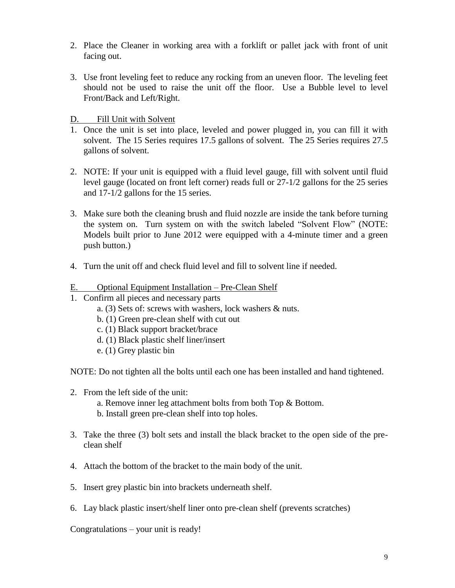- 2. Place the Cleaner in working area with a forklift or pallet jack with front of unit facing out.
- 3. Use front leveling feet to reduce any rocking from an uneven floor. The leveling feet should not be used to raise the unit off the floor. Use a Bubble level to level Front/Back and Left/Right.

<span id="page-8-0"></span>D. Fill Unit with Solvent

- 1. Once the unit is set into place, leveled and power plugged in, you can fill it with solvent. The 15 Series requires 17.5 gallons of solvent. The 25 Series requires 27.5 gallons of solvent.
- 2. NOTE: If your unit is equipped with a fluid level gauge, fill with solvent until fluid level gauge (located on front left corner) reads full or 27-1/2 gallons for the 25 series and 17-1/2 gallons for the 15 series.
- 3. Make sure both the cleaning brush and fluid nozzle are inside the tank before turning the system on. Turn system on with the switch labeled "Solvent Flow" (NOTE: Models built prior to June 2012 were equipped with a 4-minute timer and a green push button.)
- 4. Turn the unit off and check fluid level and fill to solvent line if needed.

#### <span id="page-8-1"></span>E. Optional Equipment Installation – Pre-Clean Shelf

- 1. Confirm all pieces and necessary parts
	- a. (3) Sets of: screws with washers, lock washers & nuts.
	- b. (1) Green pre-clean shelf with cut out
	- c. (1) Black support bracket/brace
	- d. (1) Black plastic shelf liner/insert
	- e. (1) Grey plastic bin

NOTE: Do not tighten all the bolts until each one has been installed and hand tightened.

- 2. From the left side of the unit:
	- a. Remove inner leg attachment bolts from both Top & Bottom.
	- b. Install green pre-clean shelf into top holes.
- 3. Take the three (3) bolt sets and install the black bracket to the open side of the preclean shelf
- 4. Attach the bottom of the bracket to the main body of the unit.
- 5. Insert grey plastic bin into brackets underneath shelf.
- 6. Lay black plastic insert/shelf liner onto pre-clean shelf (prevents scratches)

Congratulations – your unit is ready!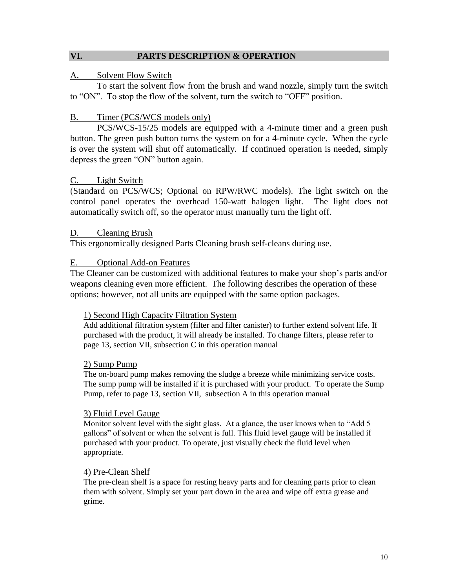#### <span id="page-9-0"></span>**VI. PARTS DESCRIPTION & OPERATION**

#### <span id="page-9-1"></span>A. Solvent Flow Switch

To start the solvent flow from the brush and wand nozzle, simply turn the switch to "ON". To stop the flow of the solvent, turn the switch to "OFF" position.

#### <span id="page-9-2"></span>B. Timer (PCS/WCS models only)

PCS/WCS-15/25 models are equipped with a 4-minute timer and a green push button. The green push button turns the system on for a 4-minute cycle. When the cycle is over the system will shut off automatically. If continued operation is needed, simply depress the green "ON" button again.

#### <span id="page-9-3"></span>C. Light Switch

(Standard on PCS/WCS; Optional on RPW/RWC models). The light switch on the control panel operates the overhead 150-watt halogen light. The light does not automatically switch off, so the operator must manually turn the light off.

#### <span id="page-9-4"></span>D. Cleaning Brush

This ergonomically designed Parts Cleaning brush self-cleans during use.

#### <span id="page-9-5"></span>E. Optional Add-on Features

The Cleaner can be customized with additional features to make your shop's parts and/or weapons cleaning even more efficient. The following describes the operation of these options; however, not all units are equipped with the same option packages.

#### <span id="page-9-6"></span>1) Second High Capacity Filtration System

Add additional filtration system (filter and filter canister) to further extend solvent life. If purchased with the product, it will already be installed. To change filters, please refer to page 13, section VII, subsection C in this operation manual

#### <span id="page-9-7"></span>2) Sump Pump

The on-board pump makes removing the sludge a breeze while minimizing service costs. The sump pump will be installed if it is purchased with your product. To operate the Sump Pump, refer to page 13, section VII, subsection A in this operation manual

#### <span id="page-9-8"></span>3) Fluid Level Gauge

Monitor solvent level with the sight glass. At a glance, the user knows when to "Add 5 gallons" of solvent or when the solvent is full. This fluid level gauge will be installed if purchased with your product. To operate, just visually check the fluid level when appropriate.

#### <span id="page-9-9"></span>4) Pre-Clean Shelf

The pre-clean shelf is a space for resting heavy parts and for cleaning parts prior to clean them with solvent. Simply set your part down in the area and wipe off extra grease and grime.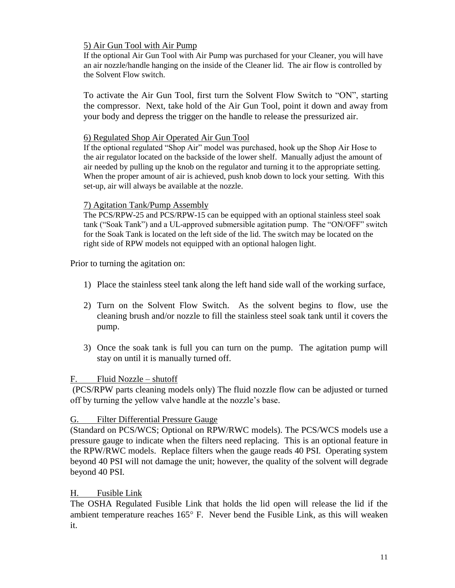### <span id="page-10-0"></span>5) Air Gun Tool with Air Pump

If the optional Air Gun Tool with Air Pump was purchased for your Cleaner, you will have an air nozzle/handle hanging on the inside of the Cleaner lid. The air flow is controlled by the Solvent Flow switch.

To activate the Air Gun Tool, first turn the Solvent Flow Switch to "ON", starting the compressor. Next, take hold of the Air Gun Tool, point it down and away from your body and depress the trigger on the handle to release the pressurized air.

#### <span id="page-10-1"></span>6) Regulated Shop Air Operated Air Gun Tool

If the optional regulated "Shop Air" model was purchased, hook up the Shop Air Hose to the air regulator located on the backside of the lower shelf. Manually adjust the amount of air needed by pulling up the knob on the regulator and turning it to the appropriate setting. When the proper amount of air is achieved, push knob down to lock your setting. With this set-up, air will always be available at the nozzle.

#### <span id="page-10-2"></span>7) Agitation Tank/Pump Assembly

The PCS/RPW-25 and PCS/RPW-15 can be equipped with an optional stainless steel soak tank ("Soak Tank") and a UL-approved submersible agitation pump. The "ON/OFF" switch for the Soak Tank is located on the left side of the lid. The switch may be located on the right side of RPW models not equipped with an optional halogen light.

Prior to turning the agitation on:

- 1) Place the stainless steel tank along the left hand side wall of the working surface,
- 2) Turn on the Solvent Flow Switch. As the solvent begins to flow, use the cleaning brush and/or nozzle to fill the stainless steel soak tank until it covers the pump.
- 3) Once the soak tank is full you can turn on the pump. The agitation pump will stay on until it is manually turned off.

#### <span id="page-10-3"></span>F. Fluid Nozzle – shutoff

(PCS/RPW parts cleaning models only) The fluid nozzle flow can be adjusted or turned off by turning the yellow valve handle at the nozzle's base.

#### <span id="page-10-4"></span>G. Filter Differential Pressure Gauge

(Standard on PCS/WCS; Optional on RPW/RWC models). The PCS/WCS models use a pressure gauge to indicate when the filters need replacing. This is an optional feature in the RPW/RWC models. Replace filters when the gauge reads 40 PSI. Operating system beyond 40 PSI will not damage the unit; however, the quality of the solvent will degrade beyond 40 PSI.

#### <span id="page-10-5"></span>H. Fusible Link

The OSHA Regulated Fusible Link that holds the lid open will release the lid if the ambient temperature reaches  $165^{\circ}$  F. Never bend the Fusible Link, as this will weaken it.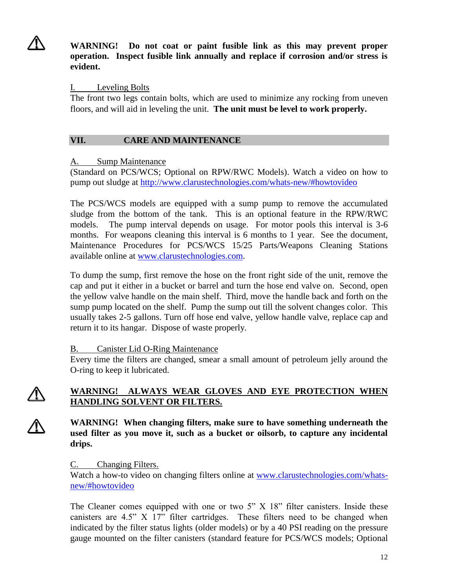**WARNING! Do not coat or paint fusible link as this may prevent proper operation. Inspect fusible link annually and replace if corrosion and/or stress is evident.**

#### <span id="page-11-0"></span>I. Leveling Bolts

The front two legs contain bolts, which are used to minimize any rocking from uneven floors, and will aid in leveling the unit. **The unit must be level to work properly.**

## <span id="page-11-1"></span>**VII. CARE AND MAINTENANCE**

#### <span id="page-11-2"></span>A. Sump Maintenance

(Standard on PCS/WCS; Optional on RPW/RWC Models). Watch a video on how to pump out sludge at<http://www.clarustechnologies.com/whats-new/#howtovideo>

The PCS/WCS models are equipped with a sump pump to remove the accumulated sludge from the bottom of the tank. This is an optional feature in the RPW/RWC models. The pump interval depends on usage. For motor pools this interval is 3-6 months. For weapons cleaning this interval is 6 months to 1 year. See the document, Maintenance Procedures for PCS/WCS 15/25 Parts/Weapons Cleaning Stations available online at [www.clarustechnologies.com.](http://www.clarustechnologies.com/)

To dump the sump, first remove the hose on the front right side of the unit, remove the cap and put it either in a bucket or barrel and turn the hose end valve on. Second, open the yellow valve handle on the main shelf. Third, move the handle back and forth on the sump pump located on the shelf. Pump the sump out till the solvent changes color. This usually takes 2-5 gallons. Turn off hose end valve, yellow handle valve, replace cap and return it to its hangar. Dispose of waste properly.

## <span id="page-11-3"></span>B. Canister Lid O-Ring Maintenance

Every time the filters are changed, smear a small amount of petroleum jelly around the O-ring to keep it lubricated.

## **WARNING! ALWAYS WEAR GLOVES AND EYE PROTECTION WHEN HANDLING SOLVENT OR FILTERS.**

**WARNING! When changing filters, make sure to have something underneath the used filter as you move it, such as a bucket or oilsorb, to capture any incidental drips.**

## <span id="page-11-4"></span>C. Changing Filters.

Watch a how-to video on changing filters online at [www.clarustechnologies.com/whats](http://www.clarustechnologies.com/whats-new/#howtovideo)[new/#howtovideo](http://www.clarustechnologies.com/whats-new/#howtovideo)

The Cleaner comes equipped with one or two 5" X 18" filter canisters. Inside these canisters are 4.5" X 17" filter cartridges. These filters need to be changed when indicated by the filter status lights (older models) or by a 40 PSI reading on the pressure gauge mounted on the filter canisters (standard feature for PCS/WCS models; Optional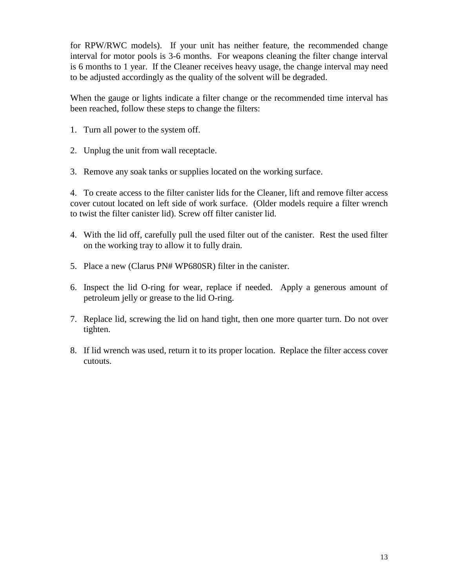for RPW/RWC models). If your unit has neither feature, the recommended change interval for motor pools is 3-6 months. For weapons cleaning the filter change interval is 6 months to 1 year. If the Cleaner receives heavy usage, the change interval may need to be adjusted accordingly as the quality of the solvent will be degraded.

When the gauge or lights indicate a filter change or the recommended time interval has been reached, follow these steps to change the filters:

- 1. Turn all power to the system off.
- 2. Unplug the unit from wall receptacle.
- 3. Remove any soak tanks or supplies located on the working surface.

4. To create access to the filter canister lids for the Cleaner, lift and remove filter access cover cutout located on left side of work surface. (Older models require a filter wrench to twist the filter canister lid). Screw off filter canister lid.

- 4. With the lid off, carefully pull the used filter out of the canister. Rest the used filter on the working tray to allow it to fully drain.
- 5. Place a new (Clarus PN# WP680SR) filter in the canister.
- 6. Inspect the lid O-ring for wear, replace if needed. Apply a generous amount of petroleum jelly or grease to the lid O-ring.
- 7. Replace lid, screwing the lid on hand tight, then one more quarter turn. Do not over tighten.
- 8. If lid wrench was used, return it to its proper location. Replace the filter access cover cutouts.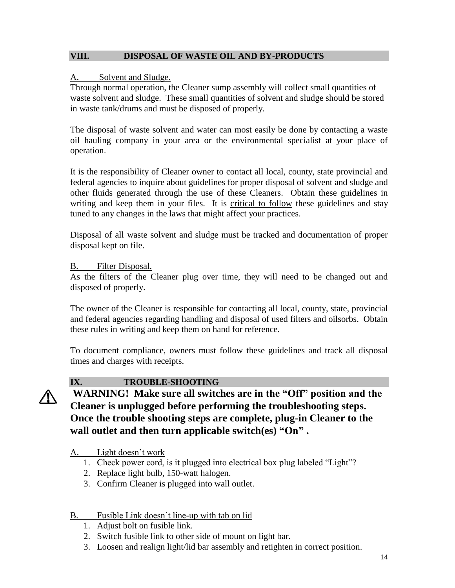### <span id="page-13-0"></span>**VIII. DISPOSAL OF WASTE OIL AND BY-PRODUCTS**

#### <span id="page-13-1"></span>A. Solvent and Sludge.

Through normal operation, the Cleaner sump assembly will collect small quantities of waste solvent and sludge. These small quantities of solvent and sludge should be stored in waste tank/drums and must be disposed of properly.

The disposal of waste solvent and water can most easily be done by contacting a waste oil hauling company in your area or the environmental specialist at your place of operation.

It is the responsibility of Cleaner owner to contact all local, county, state provincial and federal agencies to inquire about guidelines for proper disposal of solvent and sludge and other fluids generated through the use of these Cleaners. Obtain these guidelines in writing and keep them in your files. It is critical to follow these guidelines and stay tuned to any changes in the laws that might affect your practices.

Disposal of all waste solvent and sludge must be tracked and documentation of proper disposal kept on file.

## <span id="page-13-2"></span>B. Filter Disposal.

As the filters of the Cleaner plug over time, they will need to be changed out and disposed of properly.

The owner of the Cleaner is responsible for contacting all local, county, state, provincial and federal agencies regarding handling and disposal of used filters and oilsorbs. Obtain these rules in writing and keep them on hand for reference.

To document compliance, owners must follow these guidelines and track all disposal times and charges with receipts.



## <span id="page-13-3"></span>**IX. TROUBLE-SHOOTING**

## **WARNING! Make sure all switches are in the "Off" position and the Cleaner is unplugged before performing the troubleshooting steps. Once the trouble shooting steps are complete, plug-in Cleaner to the wall outlet and then turn applicable switch(es) "On" .**

## <span id="page-13-4"></span>A. Light doesn't work

- 1. Check power cord, is it plugged into electrical box plug labeled "Light"?
- 2. Replace light bulb, 150-watt halogen.
- 3. Confirm Cleaner is plugged into wall outlet.

## <span id="page-13-5"></span>B. Fusible Link doesn't line-up with tab on lid

- 1. Adjust bolt on fusible link.
- 2. Switch fusible link to other side of mount on light bar.
- 3. Loosen and realign light/lid bar assembly and retighten in correct position.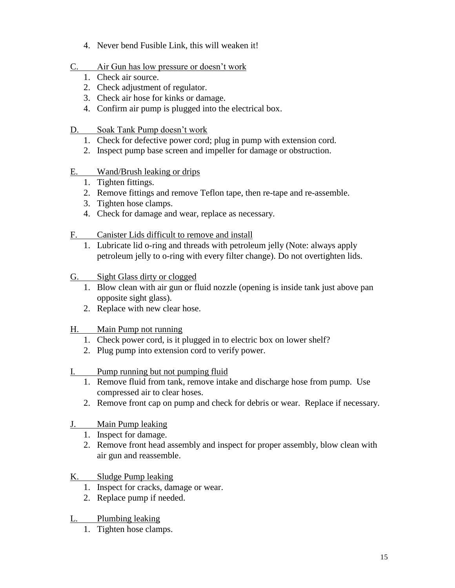- 4. Never bend Fusible Link, this will weaken it!
- <span id="page-14-0"></span>C. Air Gun has low pressure or doesn't work
	- 1. Check air source.
	- 2. Check adjustment of regulator.
	- 3. Check air hose for kinks or damage.
	- 4. Confirm air pump is plugged into the electrical box.
- <span id="page-14-1"></span>D. Soak Tank Pump doesn't work
	- 1. Check for defective power cord; plug in pump with extension cord.
	- 2. Inspect pump base screen and impeller for damage or obstruction.
- <span id="page-14-2"></span>E. Wand/Brush leaking or drips
	- 1. Tighten fittings.
	- 2. Remove fittings and remove Teflon tape, then re-tape and re-assemble.
	- 3. Tighten hose clamps.
	- 4. Check for damage and wear, replace as necessary.
- <span id="page-14-3"></span>F. Canister Lids difficult to remove and install
	- 1. Lubricate lid o-ring and threads with petroleum jelly (Note: always apply petroleum jelly to o-ring with every filter change). Do not overtighten lids.
- <span id="page-14-4"></span>G. Sight Glass dirty or clogged
	- 1. Blow clean with air gun or fluid nozzle (opening is inside tank just above pan opposite sight glass).
	- 2. Replace with new clear hose.
- <span id="page-14-5"></span>H. Main Pump not running
	- 1. Check power cord, is it plugged in to electric box on lower shelf?
	- 2. Plug pump into extension cord to verify power.
- <span id="page-14-6"></span>I. Pump running but not pumping fluid
	- 1. Remove fluid from tank, remove intake and discharge hose from pump. Use compressed air to clear hoses.
	- 2. Remove front cap on pump and check for debris or wear. Replace if necessary.
- <span id="page-14-7"></span>J. Main Pump leaking
	- 1. Inspect for damage.
	- 2. Remove front head assembly and inspect for proper assembly, blow clean with air gun and reassemble.
- <span id="page-14-8"></span>K. Sludge Pump leaking
	- 1. Inspect for cracks, damage or wear.
	- 2. Replace pump if needed.
- <span id="page-14-9"></span>L. Plumbing leaking
	- 1. Tighten hose clamps.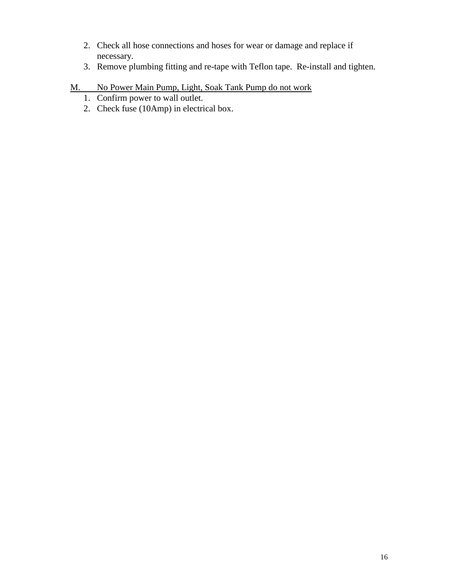- 2. Check all hose connections and hoses for wear or damage and replace if necessary.
- 3. Remove plumbing fitting and re-tape with Teflon tape. Re-install and tighten.
- <span id="page-15-0"></span>M. No Power Main Pump, Light, Soak Tank Pump do not work
	- 1. Confirm power to wall outlet.
	- 2. Check fuse (10Amp) in electrical box.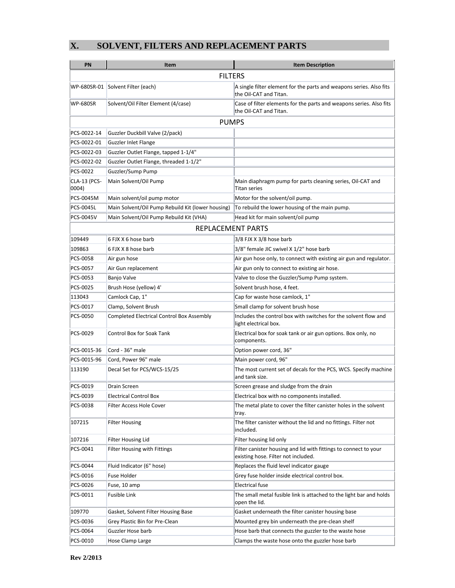## <span id="page-16-0"></span>**X. SOLVENT, FILTERS AND REPLACEMENT PARTS**

| PN                           | Item                                              | <b>Item Description</b>                                                                                 |  |  |  |  |
|------------------------------|---------------------------------------------------|---------------------------------------------------------------------------------------------------------|--|--|--|--|
| <b>FILTERS</b>               |                                                   |                                                                                                         |  |  |  |  |
|                              | WP-680SR-01 Solvent Filter (each)                 | A single filter element for the parts and weapons series. Also fits<br>the Oil-CAT and Titan.           |  |  |  |  |
| <b>WP-680SR</b>              | Solvent/Oil Filter Element (4/case)               | Case of filter elements for the parts and weapons series. Also fits<br>the Oil-CAT and Titan.           |  |  |  |  |
| <b>PUMPS</b>                 |                                                   |                                                                                                         |  |  |  |  |
| PCS-0022-14                  | Guzzler Duckbill Valve (2/pack)                   |                                                                                                         |  |  |  |  |
| PCS-0022-01                  | Guzzler Inlet Flange                              |                                                                                                         |  |  |  |  |
| PCS-0022-03                  | Guzzler Outlet Flange, tapped 1-1/4"              |                                                                                                         |  |  |  |  |
| PCS-0022-02                  | Guzzler Outlet Flange, threaded 1-1/2"            |                                                                                                         |  |  |  |  |
| PCS-0022                     | Guzzler/Sump Pump                                 |                                                                                                         |  |  |  |  |
| <b>CLA-13 (PCS-</b><br>0004) | Main Solvent/Oil Pump                             | Main diaphragm pump for parts cleaning series, Oil-CAT and<br><b>Titan series</b>                       |  |  |  |  |
| PCS-0045M                    | Main solvent/oil pump motor                       | Motor for the solvent/oil pump.                                                                         |  |  |  |  |
| PCS-0045L                    | Main Solvent/Oil Pump Rebuild Kit (lower housing) | To rebuild the lower housing of the main pump.                                                          |  |  |  |  |
| PCS-0045V                    | Main Solvent/Oil Pump Rebuild Kit (VHA)           | Head kit for main solvent/oil pump                                                                      |  |  |  |  |
|                              | REPLACEMENT PARTS                                 |                                                                                                         |  |  |  |  |
| 109449                       | 6 FJX X 6 hose barb                               | 3/8 FJX X 3/8 hose barb                                                                                 |  |  |  |  |
| 109863                       | 6 FJX X 8 hose barb                               | 3/8" female JIC swivel X 1/2" hose barb                                                                 |  |  |  |  |
| PCS-0058                     | Air gun hose                                      | Air gun hose only, to connect with existing air gun and regulator.                                      |  |  |  |  |
| PCS-0057                     | Air Gun replacement                               | Air gun only to connect to existing air hose.                                                           |  |  |  |  |
| PCS-0053                     | Banjo Valve                                       | Valve to close the Guzzler/Sump Pump system.                                                            |  |  |  |  |
| PCS-0025                     | Brush Hose (yellow) 4'                            | Solvent brush hose, 4 feet.                                                                             |  |  |  |  |
| 113043                       | Camlock Cap, 1"                                   | Cap for waste hose camlock, 1"                                                                          |  |  |  |  |
| PCS-0017                     | Clamp, Solvent Brush                              | Small clamp for solvent brush hose                                                                      |  |  |  |  |
| PCS-0050                     | Completed Electrical Control Box Assembly         | Includes the control box with switches for the solvent flow and<br>light electrical box.                |  |  |  |  |
| PCS-0029                     | Control Box for Soak Tank                         | Electrical box for soak tank or air gun options. Box only, no<br>components.                            |  |  |  |  |
| PCS-0015-36                  | Cord - 36" male                                   | Option power cord, 36"                                                                                  |  |  |  |  |
| PCS-0015-96                  | Cord, Power 96" male                              | Main power cord, 96"                                                                                    |  |  |  |  |
| 113190                       | Decal Set for PCS/WCS-15/25                       | The most current set of decals for the PCS, WCS. Specify machine<br>and tank size.                      |  |  |  |  |
| PCS-0019                     | Drain Screen                                      | Screen grease and sludge from the drain                                                                 |  |  |  |  |
| PCS-0039                     | <b>Electrical Control Box</b>                     | Electrical box with no components installed.                                                            |  |  |  |  |
| PCS-0038                     | Filter Access Hole Cover                          | The metal plate to cover the filter canister holes in the solvent<br>tray.                              |  |  |  |  |
| 107215                       | <b>Filter Housing</b>                             | The filter canister without the lid and no fittings. Filter not<br>included.                            |  |  |  |  |
| 107216                       | <b>Filter Housing Lid</b>                         | Filter housing lid only                                                                                 |  |  |  |  |
| PCS-0041                     | Filter Housing with Fittings                      | Filter canister housing and lid with fittings to connect to your<br>existing hose. Filter not included. |  |  |  |  |
| PCS-0044                     | Fluid Indicator (6" hose)                         | Replaces the fluid level indicator gauge                                                                |  |  |  |  |
| PCS-0016                     | <b>Fuse Holder</b>                                | Grey fuse holder inside electrical control box.                                                         |  |  |  |  |
| PCS-0026                     | Fuse, 10 amp                                      | <b>Electrical fuse</b>                                                                                  |  |  |  |  |
| PCS-0011                     | Fusible Link                                      | The small metal fusible link is attached to the light bar and holds<br>open the lid.                    |  |  |  |  |
| 109770                       | Gasket, Solvent Filter Housing Base               | Gasket underneath the filter canister housing base                                                      |  |  |  |  |
| PCS-0036                     | Grey Plastic Bin for Pre-Clean                    | Mounted grey bin underneath the pre-clean shelf                                                         |  |  |  |  |
| PCS-0064                     | Guzzler Hose barb                                 | Hose barb that connects the guzzler to the waste hose                                                   |  |  |  |  |
| PCS-0010                     | Hose Clamp Large                                  | Clamps the waste hose onto the guzzler hose barb                                                        |  |  |  |  |